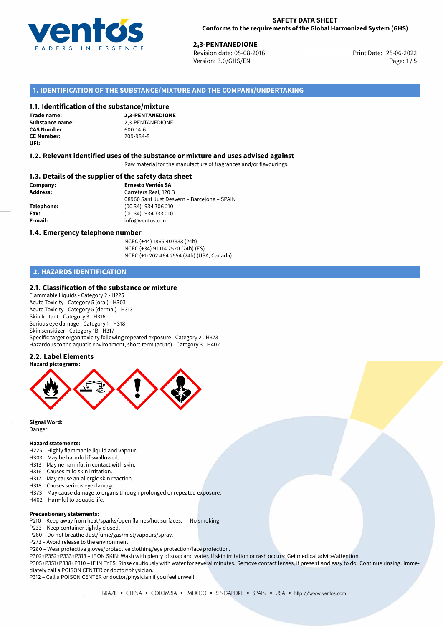

25-06-2022 **2,3-PENTANEDIONE** Revision date: 05-08-2016 Print Date: Version: 3.0/GHS/EN Page: 1/5

# **1. IDENTIFICATION OF THE SUBSTANCE/MIXTURE AND THE COMPANY/UNDERTAKING**

### **1.1. Identification of the substance/mixture**

**Trade name: CAS Number: CE Number:** 209-984-8 **UFI:**

**2,3-PENTANEDIONE Substance name:** 2,3-PENTANEDIONE<br> **CAS Number:** 600-14-6

#### **1.2. Relevant identified uses of the substance or mixture and uses advised against**

Raw material for the manufacture of fragrances and/or flavourings.

#### **1.3. Details of the supplier of the safety data sheet**

**Company: Ernesto Ventós SA Address:** Carretera Real, 120 B 08960 Sant Just Desvern – Barcelona – SPAIN **Telephone:** (00 34) 934 706 210 **Fax:** (00 34) 934 733 010 **E-mail:** info@ventos.com

#### **1.4. Emergency telephone number**

NCEC (+44) 1865 407333 (24h) NCEC (+34) 91 114 2520 (24h) (ES) NCEC (+1) 202 464 2554 (24h) (USA, Canada)

# **2. HAZARDS IDENTIFICATION**

#### **2.1. Classification of the substance or mixture**

Flammable Liquids - Category 2 - H225 Acute Toxicity - Category 5 (oral) - H303 Acute Toxicity - Category 5 (dermal) - H313 Skin Irritant - Category 3 - H316 Serious eye damage - Category 1 - H318 Skin sensitizer - Category 1B - H317 Specific target organ toxicity following repeated exposure - Category 2 - H373 Hazardous to the aquatic environment, short-term (acute) - Category 3 - H402

# **2.2. Label Elements**



**Signal Word:** Danger

#### **Hazard statements:**

- H225 Highly flammable liquid and vapour.
- H303 May be harmful if swallowed.
- H313 May ne harmful in contact with skin.
- H316 Causes mild skin irritation.
- H317 May cause an allergic skin reaction.
- H318 Causes serious eye damage.
- H373 May cause damage to organs through prolonged or repeated exposure.
- H402 Harmful to aquatic life.

#### **Precautionary statements:**

- P210 Keep away from heat/sparks/open flames/hot surfaces. No smoking.
- P233 Keep container tightly closed.
- P260 Do not breathe dust/fume/gas/mist/vapours/spray.
- P273 Avoid release to the environment.
- P280 Wear protective gloves/protective clothing/eye protection/face protection.

P302+P352+P333+P313 – IF ON SKIN: Wash with plenty of soap and water. If skin irritation or rash occurs: Get medical advice/attention.

P305+P351+P338+P310 – IF IN EYES: Rinse cautiously with water for several minutes. Remove contact lenses, if present and easy to do. Continue rinsing. Immediately call a POISON CENTER or doctor/physician.

P312 – Call a POISON CENTER or doctor/physician if you feel unwell.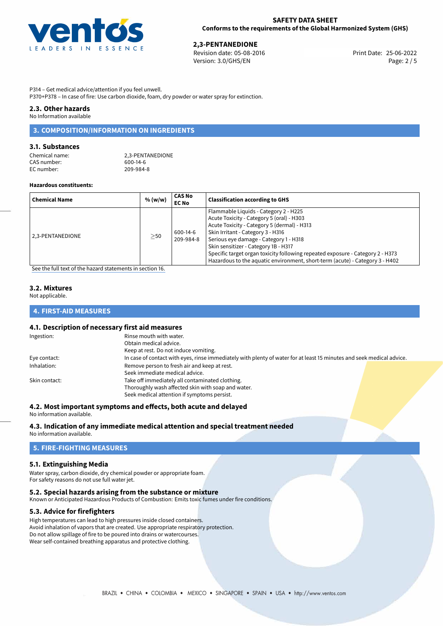

25-06-2022 **2,3-PENTANEDIONE** Revision date: 05-08-2016 Print Date: Version: 3.0/GHS/EN Page: 2 / 5

P314 – Get medical advice/attention if you feel unwell.

P370+P378 – In case of fire: Use carbon dioxide, foam, dry powder or water spray for extinction.

# **2.3. Other hazards**

No Information available

# **3. COMPOSITION/INFORMATION ON INGREDIENTS**

### **3.1. Substances**

| Chemical name: | 2.3-PENTANEDIONE |
|----------------|------------------|
| CAS number:    | 600-14-6         |
| EC number:     | 209-984-8        |

#### **Hazardous constituents:**

| <b>Chemical Name</b> | % (w/w)   | <b>CAS No</b><br><b>EC No</b> | <b>Classification according to GHS</b>                                                                                                                                                                                                                                                                                                                                                                                     |
|----------------------|-----------|-------------------------------|----------------------------------------------------------------------------------------------------------------------------------------------------------------------------------------------------------------------------------------------------------------------------------------------------------------------------------------------------------------------------------------------------------------------------|
| 2.3-PENTANEDIONE     | $\geq$ 50 | 600-14-6<br>209-984-8         | Flammable Liquids - Category 2 - H225<br>Acute Toxicity - Category 5 (oral) - H303<br>Acute Toxicity - Category 5 (dermal) - H313<br>Skin Irritant - Category 3 - H316<br>Serious eye damage - Category 1 - H318<br>Skin sensitizer - Category 1B - H317<br>Specific target organ toxicity following repeated exposure - Category 2 - H373<br>Hazardous to the aquatic environment, short-term (acute) - Category 3 - H402 |

[See the full text of the hazard statements in section 16.](#page-4-0)

# **3.2. Mixtures**

Not applicable.

# **4. FIRST-AID MEASURES**

# **4.1. Description of necessary first aid measures**

| Ingestion:    | Rinse mouth with water.                                                                                               |  |
|---------------|-----------------------------------------------------------------------------------------------------------------------|--|
|               | Obtain medical advice.                                                                                                |  |
|               | Keep at rest. Do not induce vomiting.                                                                                 |  |
| Eye contact:  | In case of contact with eyes, rinse immediately with plenty of water for at least 15 minutes and seek medical advice. |  |
| Inhalation:   | Remove person to fresh air and keep at rest.                                                                          |  |
|               | Seek immediate medical advice.                                                                                        |  |
| Skin contact: | Take off immediately all contaminated clothing.                                                                       |  |
|               | Thoroughly wash affected skin with soap and water.                                                                    |  |
|               | Seek medical attention if symptoms persist.                                                                           |  |

#### **4.2. Most important symptoms and effects, both acute and delayed**

No information available.

# **4.3. Indication of any immediate medical attention and special treatment needed**

No information available.

# **5. FIRE-FIGHTING MEASURES**

# **5.1. Extinguishing Media**

Water spray, carbon dioxide, dry chemical powder or appropriate foam. For safety reasons do not use full water jet.

#### **5.2. Special hazards arising from the substance or mixture**

Known or Anticipated Hazardous Products of Combustion: Emits toxic fumes under fire conditions.

# **5.3. Advice for firefighters**

High temperatures can lead to high pressures inside closed containers. Avoid inhalation of vapors that are created. Use appropriate respiratory protection. Do not allow spillage of fire to be poured into drains or watercourses. Wear self-contained breathing apparatus and protective clothing.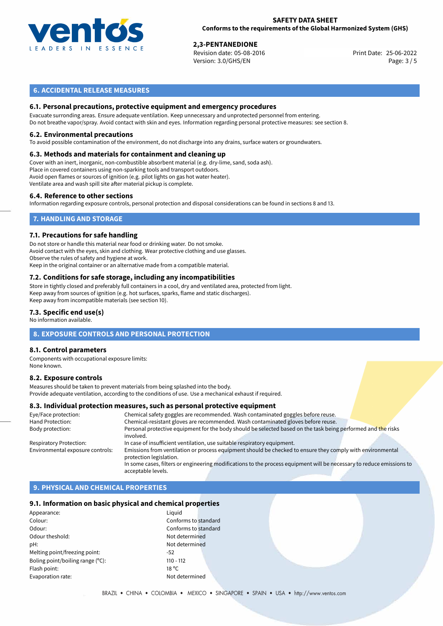

# **SAFETY DATA SHEET Conforms to the requirements of the Global Harmonized System (GHS)**

25-06-2022 **2,3-PENTANEDIONE** Revision date: 05-08-2016 Print Date: Version: 3.0/GHS/EN Page: 3 / 5

# **6. ACCIDENTAL RELEASE MEASURES**

# **6.1. Personal precautions, protective equipment and emergency procedures**

Evacuate surronding areas. Ensure adequate ventilation. Keep unnecessary and unprotected personnel from entering. Do not breathe vapor/spray. Avoid contact with skin and eyes. Information regarding personal protective measures: see section 8.

#### **6.2. Environmental precautions**

To avoid possible contamination of the environment, do not discharge into any drains, surface waters or groundwaters.

#### **6.3. Methods and materials for containment and cleaning up**

Cover with an inert, inorganic, non-combustible absorbent material (e.g. dry-lime, sand, soda ash). Place in covered containers using non-sparking tools and transport outdoors. Avoid open flames or sources of ignition (e.g. pilot lights on gas hot water heater). Ventilate area and wash spill site after material pickup is complete.

#### **6.4. Reference to other sections**

Information regarding exposure controls, personal protection and disposal considerations can be found in sections 8 and 13.

# **7. HANDLING AND STORAGE**

#### **7.1. Precautions for safe handling**

Do not store or handle this material near food or drinking water. Do not smoke. Avoid contact with the eyes, skin and clothing. Wear protective clothing and use glasses. Observe the rules of safety and hygiene at work. Keep in the original container or an alternative made from a compatible material.

# **7.2. Conditions for safe storage, including any incompatibilities**

Store in tightly closed and preferably full containers in a cool, dry and ventilated area, protected from light. Keep away from sources of ignition (e.g. hot surfaces, sparks, flame and static discharges). Keep away from incompatible materials (see section 10).

#### **7.3. Specific end use(s)**

No information available.

# **8. EXPOSURE CONTROLS AND PERSONAL PROTECTION**

#### **8.1. Control parameters**

Components with occupational exposure limits: None known.

#### **8.2. Exposure controls**

Measures should be taken to prevent materials from being splashed into the body. Provide adequate ventilation, according to the conditions of use. Use a mechanical exhaust if required.

#### **8.3. Individual protection measures, such as personal protective equipment**

| Eye/Face protection:             | Chemical safety goggles are recommended. Wash contaminated goggles before reuse.                                      |  |  |
|----------------------------------|-----------------------------------------------------------------------------------------------------------------------|--|--|
| Hand Protection:                 | Chemical-resistant gloves are recommended. Wash contaminated gloves before reuse.                                     |  |  |
| Body protection:                 | Personal protective equipment for the body should be selected based on the task being performed and the risks         |  |  |
|                                  | involved.                                                                                                             |  |  |
| <b>Respiratory Protection:</b>   | In case of insufficient ventilation, use suitable respiratory equipment.                                              |  |  |
| Environmental exposure controls: | Emissions from ventilation or process equipment should be checked to ensure they comply with environmental            |  |  |
|                                  | protection legislation.                                                                                               |  |  |
|                                  | In some cases, filters or engineering modifications to the process equipment will be necessary to reduce emissions to |  |  |
|                                  | acceptable levels.                                                                                                    |  |  |

# **9. PHYSICAL AND CHEMICAL PROPERTIES**

#### **9.1. Information on basic physical and chemical properties**

| Appearance:                         | Liauid         |
|-------------------------------------|----------------|
| Colour:                             | Conforr        |
| Odour:                              | Conforr        |
| Odour theshold:                     | Not det        |
| pH:                                 | Not det        |
| Melting point/freezing point:       | $-52$          |
| Boling point/boiling range $(°C)$ : | 110 - 112      |
| Flash point:                        | $18^{\circ}$ C |
| Evaporation rate:                   | Not det        |
|                                     |                |

Conforms to standard Conforms to standard Not determined Not determined Not determined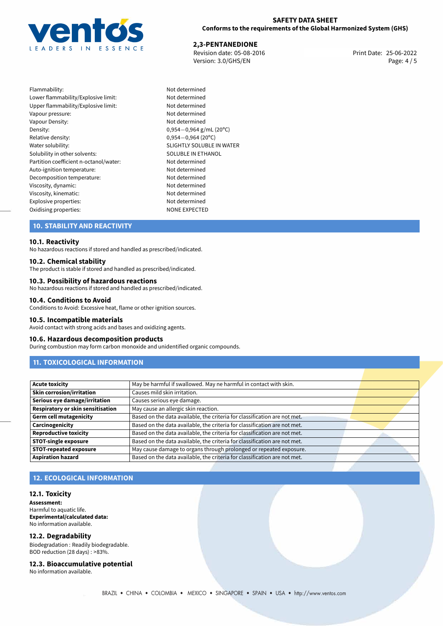

# **SAFETY DATA SHEET Conforms to the requirements of the Global Harmonized System (GHS)**

25-06-2022 **2,3-PENTANEDIONE** Revision date: 05-08-2016 Print Date: Version: 3.0/GHS/EN Page: 4 / 5

Flammability: Not determined Lower flammability/Explosive limit: Not determined Upper flammability/Explosive limit: Not determined Vapour pressure: Vapour pressure: Vapour Density: Not determined Density: 0,954−0,964 g/mL (20<sup>o</sup>C)<br>Relative density: 0,954−0,964 (20<sup>o</sup>C) Relative density: 0,954*−*0,964 (20ºC) Solubility in other solvents: SOLUBLE IN ETHANOL Partition coefficient n-octanol/water: Not determined Auto-ignition temperature: Not determined Decomposition temperature: Not determined<br>
Viscosity, dynamic: Not determined<br>
Not determined Viscosity, dynamic: Viscosity, kinematic: Not determined Explosive properties:<br>
Oxidising properties:<br>
NONE EXPECTED Oxidising properties:

SLIGHTLY SOLUBLE IN WATER

# **10. STABILITY AND REACTIVITY**

# **10.1. Reactivity**

No hazardous reactions if stored and handled as prescribed/indicated.

#### **10.2. Chemical stability**

The product is stable if stored and handled as prescribed/indicated.

### **10.3. Possibility of hazardous reactions**

No hazardous reactions if stored and handled as prescribed/indicated.

#### **10.4. Conditions to Avoid**

Conditions to Avoid: Excessive heat, flame or other ignition sources.

#### **10.5. Incompatible materials**

Avoid contact with strong acids and bases and oxidizing agents.

#### **10.6. Hazardous decomposition products**

During combustion may form carbon monoxide and unidentified organic compounds.

# **11. TOXICOLOGICAL INFORMATION**

| <b>Acute toxicity</b>                    | May be harmful if swallowed. May ne harmful in contact with skin.         |  |
|------------------------------------------|---------------------------------------------------------------------------|--|
| <b>Skin corrosion/irritation</b>         | Causes mild skin irritation.                                              |  |
| Serious eye damage/irritation            | Causes serious eye damage.                                                |  |
| <b>Respiratory or skin sensitisation</b> | May cause an allergic skin reaction.                                      |  |
| <b>Germ cell mutagenicity</b>            | Based on the data available, the criteria for classification are not met. |  |
| Carcinogenicity                          | Based on the data available, the criteria for classification are not met. |  |
| <b>Reproductive toxicity</b>             | Based on the data available, the criteria for classification are not met. |  |
| <b>STOT-single exposure</b>              | Based on the data available, the criteria for classification are not met. |  |
| <b>STOT-repeated exposure</b>            | May cause damage to organs through prolonged or repeated exposure.        |  |
| <b>Aspiration hazard</b>                 | Based on the data available, the criteria for classification are not met. |  |

# **12. ECOLOGICAL INFORMATION**

#### **12.1. Toxicity**

**Assessment:** Harmful to aquatic life. **Experimental/calculated data:** No information available.

#### **12.2. Degradability**

Biodegradation : Readily biodegradable. BOD reduction (28 days) : >83%.

**12.3. Bioaccumulative potential** No information available.